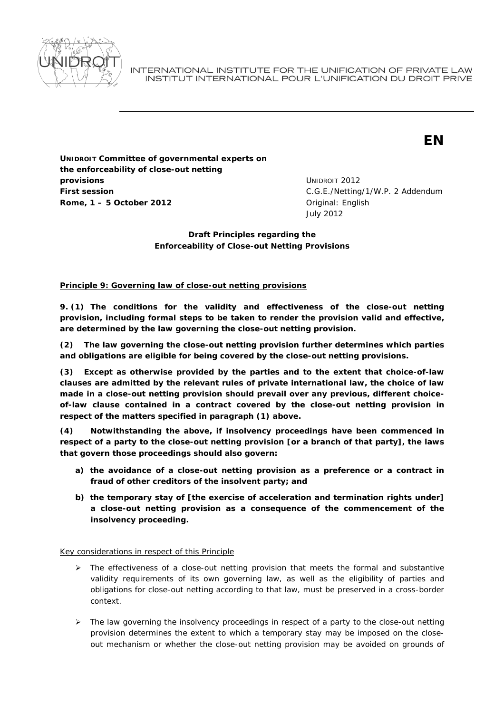

INTERNATIONAL INSTITUTE FOR THE UNIFICATION OF PRIVATE LAW INSTITUT INTERNATIONAL POUR L'UNIFICATION DU DROIT PRIVE

# **EN**

**UNIDROIT Committee of governmental experts on the enforceability of close-out netting provisions First session Rome, 1 – 5 October 2012 Driginal: English** 

UNIDROIT 2012 C.G.E./Netting/1/W.P. 2 Addendum July 2012

**Draft Principles regarding the Enforceability of Close-out Netting Provisions** 

## **Principle 9: Governing law of close-out netting provisions**

*9. (1) The conditions for the validity and effectiveness of the close-out netting provision, including formal steps to be taken to render the provision valid and effective, are determined by the law governing the close-out netting provision.* 

*(2) The law governing the close-out netting provision further determines which parties and obligations are eligible for being covered by the close-out netting provisions.* 

*(3) Except as otherwise provided by the parties and to the extent that choice-of-law clauses are admitted by the relevant rules of private international law, the choice of law made in a close-out netting provision should prevail over any previous, different choiceof-law clause contained in a contract covered by the close-out netting provision in respect of the matters specified in paragraph (1) above.* 

*(4) Notwithstanding the above, if insolvency proceedings have been commenced in respect of a party to the close-out netting provision [or a branch of that party], the laws that govern those proceedings should also govern:* 

- *a) the avoidance of a close-out netting provision as a preference or a contract in fraud of other creditors of the insolvent party; and*
- *b) the temporary stay of [the exercise of acceleration and termination rights under] a close-out netting provision as a consequence of the commencement of the insolvency proceeding.*

Key considerations in respect of this Principle

- $\triangleright$  The effectiveness of a close-out netting provision that meets the formal and substantive validity requirements of its own governing law, as well as the eligibility of parties and obligations for close-out netting according to that law, must be preserved in a cross-border context.
- ¾ The law governing the insolvency proceedings in respect of a party to the close-out netting provision determines the extent to which a temporary stay may be imposed on the closeout mechanism or whether the close-out netting provision may be avoided on grounds of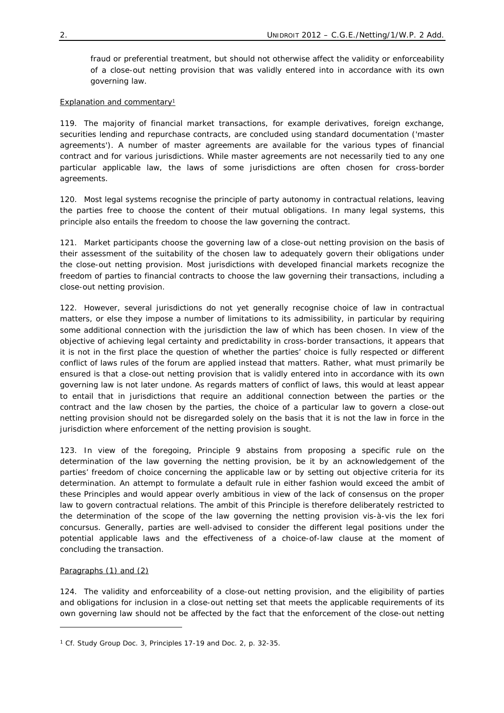fraud or preferential treatment, but should not otherwise affect the validity or enforceability of a close-out netting provision that was validly entered into in accordance with its own governing law.

## Explanation and commentary<sup>1</sup>

119. The majority of financial market transactions, for example derivatives, foreign exchange, securities lending and repurchase contracts, are concluded using standard documentation ('master agreements'). A number of master agreements are available for the various types of financial contract and for various jurisdictions. While master agreements are not necessarily tied to any one particular applicable law, the laws of some jurisdictions are often chosen for cross-border agreements.

120. Most legal systems recognise the principle of party autonomy in contractual relations, leaving the parties free to choose the content of their mutual obligations. In many legal systems, this principle also entails the freedom to choose the law governing the contract.

121. Market participants choose the governing law of a close-out netting provision on the basis of their assessment of the suitability of the chosen law to adequately govern their obligations under the close-out netting provision. Most jurisdictions with developed financial markets recognize the freedom of parties to financial contracts to choose the law governing their transactions, including a close-out netting provision.

122. However, several jurisdictions do not yet generally recognise choice of law in contractual matters, or else they impose a number of limitations to its admissibility, in particular by requiring some additional connection with the jurisdiction the law of which has been chosen. In view of the objective of achieving legal certainty and predictability in cross-border transactions, it appears that it is not in the first place the question of whether the parties' choice is fully respected or different conflict of laws rules of the forum are applied instead that matters. Rather, what must primarily be ensured is that a close-out netting provision that is validly entered into in accordance with its own governing law is not later undone. As regards matters of conflict of laws, this would at least appear to entail that in jurisdictions that require an additional connection between the parties or the contract and the law chosen by the parties, the choice of a particular law to govern a close-out netting provision should not be disregarded solely on the basis that it is not the law in force in the jurisdiction where enforcement of the netting provision is sought.

123. In view of the foregoing, Principle 9 abstains from proposing a specific rule on the determination of the law governing the netting provision, be it by an acknowledgement of the parties' freedom of choice concerning the applicable law or by setting out objective criteria for its determination. An attempt to formulate a default rule in either fashion would exceed the ambit of these Principles and would appear overly ambitious in view of the lack of consensus on the proper law to govern contractual relations. The ambit of this Principle is therefore deliberately restricted to the determination of the scope of the law governing the netting provision vis-à-vis the *lex fori concursus*. Generally, parties are well-advised to consider the different legal positions under the potential applicable laws and the effectiveness of a choice-of-law clause at the moment of concluding the transaction.

### *Paragraphs (1) and (2)*

-

124. The validity and enforceability of a close-out netting provision, and the eligibility of parties and obligations for inclusion in a close-out netting set that meets the applicable requirements of its own governing law should not be affected by the fact that the enforcement of the close-out netting

<sup>1</sup> *Cf.* Study Group Doc. 3, Principles 17-19 and Doc. 2, p. 32-35.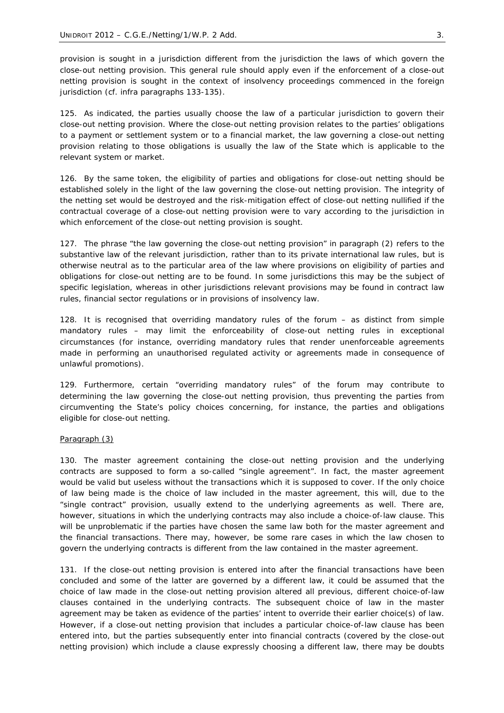provision is sought in a jurisdiction different from the jurisdiction the laws of which govern the close-out netting provision. This general rule should apply even if the enforcement of a close-out netting provision is sought in the context of insolvency proceedings commenced in the foreign jurisdiction (*cf. infra paragraphs 133-135*).

125. As indicated, the parties usually choose the law of a particular jurisdiction to govern their close-out netting provision. Where the close-out netting provision relates to the parties' obligations to a payment or settlement system or to a financial market, the law governing a close-out netting provision relating to those obligations is usually the law of the State which is applicable to the relevant system or market.

126. By the same token, the eligibility of parties and obligations for close-out netting should be established solely in the light of the law governing the close-out netting provision. The integrity of the netting set would be destroyed and the risk-mitigation effect of close-out netting nullified if the contractual coverage of a close-out netting provision were to vary according to the jurisdiction in which enforcement of the close-out netting provision is sought.

127. The phrase "the law governing the close-out netting provision" in paragraph (2) refers to the substantive law of the relevant jurisdiction, rather than to its private international law rules, but is otherwise neutral as to the particular area of the law where provisions on eligibility of parties and obligations for close-out netting are to be found. In some jurisdictions this may be the subject of specific legislation, whereas in other jurisdictions relevant provisions may be found in contract law rules, financial sector regulations or in provisions of insolvency law.

128. It is recognised that overriding mandatory rules of the forum – as distinct from simple mandatory rules – may limit the enforceability of close-out netting rules in exceptional circumstances (for instance, overriding mandatory rules that render unenforceable agreements made in performing an unauthorised regulated activity or agreements made in consequence of unlawful promotions).

129. Furthermore, certain "overriding mandatory rules" of the forum may contribute to determining the law governing the close-out netting provision, thus preventing the parties from circumventing the State's policy choices concerning, for instance, the parties and obligations eligible for close-out netting.

#### *Paragraph (3)*

130. The master agreement containing the close-out netting provision and the underlying contracts are supposed to form a so-called "single agreement". In fact, the master agreement would be valid but useless without the transactions which it is supposed to cover. If the only choice of law being made is the choice of law included in the master agreement, this will, due to the "single contract" provision, usually extend to the underlying agreements as well. There are, however, situations in which the underlying contracts may also include a choice-of-law clause. This will be unproblematic if the parties have chosen the same law both for the master agreement and the financial transactions. There may, however, be some rare cases in which the law chosen to govern the underlying contracts is different from the law contained in the master agreement.

131. If the close-out netting provision is entered into after the financial transactions have been concluded and some of the latter are governed by a different law, it could be assumed that the choice of law made in the close-out netting provision altered all previous, different choice-of-law clauses contained in the underlying contracts. The subsequent choice of law in the master agreement may be taken as evidence of the parties' intent to override their earlier choice(s) of law. However, if a close-out netting provision that includes a particular choice-of-law clause has been entered into, but the parties subsequently enter into financial contracts (covered by the close-out netting provision) which include a clause expressly choosing a different law, there may be doubts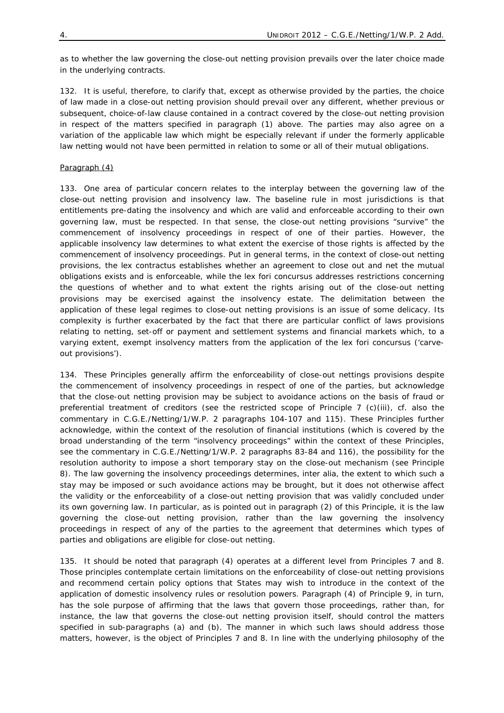as to whether the law governing the close-out netting provision prevails over the later choice made in the underlying contracts.

132. It is useful, therefore, to clarify that, except as otherwise provided by the parties, the choice of law made in a close-out netting provision should prevail over any different, whether previous or subsequent, choice-of-law clause contained in a contract covered by the close-out netting provision in respect of the matters specified in *paragraph (1)* above. The parties may also agree on a variation of the applicable law which might be especially relevant if under the formerly applicable law netting would not have been permitted in relation to some or all of their mutual obligations.

#### *Paragraph (4)*

133. One area of particular concern relates to the interplay between the governing law of the close-out netting provision and insolvency law. The baseline rule in most jurisdictions is that entitlements pre-dating the insolvency and which are valid and enforceable according to their own governing law, must be respected. In that sense, the close-out netting provisions "survive" the commencement of insolvency proceedings in respect of one of their parties. However, the applicable insolvency law determines to what extent the exercise of those rights is affected by the commencement of insolvency proceedings. Put in general terms, in the context of close-out netting provisions, the *lex contractus* establishes whether an agreement to close out and net the mutual obligations exists and is enforceable, while the *lex fori concursus* addresses restrictions concerning the questions of whether and to what extent the rights arising out of the close-out netting provisions may be exercised against the insolvency estate. The delimitation between the application of these legal regimes to close-out netting provisions is an issue of some delicacy. Its complexity is further exacerbated by the fact that there are particular conflict of laws provisions relating to netting, set-off or payment and settlement systems and financial markets which, to a varying extent, exempt insolvency matters from the application of the *lex fori concursus* ('carveout provisions')*.* 

134. These Principles generally affirm the enforceability of close-out nettings provisions despite the commencement of insolvency proceedings in respect of one of the parties, but acknowledge that the close-out netting provision may be subject to avoidance actions on the basis of fraud or preferential treatment of creditors (see the restricted scope of Principle 7 (c)(iii), *cf.* also the commentary in C.G.E./Netting/1/W.P. 2 *paragraphs 104-107* and *115*). These Principles further acknowledge, within the context of the resolution of financial institutions (which is covered by the broad understanding of the term "insolvency proceedings" within the context of these Principles, see the commentary in C.G.E./Netting/1/W.P. 2 *paragraphs* 83-84 and 116), the possibility for the resolution authority to impose a short temporary stay on the close-out mechanism (see Principle 8). The law governing the insolvency proceedings determines, *inter alia*, the extent to which such a stay may be imposed or such avoidance actions may be brought, but it does not otherwise affect the validity or the enforceability of a close-out netting provision that was validly concluded under its own governing law. In particular, as is pointed out in *paragraph (2)* of this Principle, it is the law governing the close-out netting provision, rather than the law governing the insolvency proceedings in respect of any of the parties to the agreement that determines which types of parties and obligations are eligible for close-out netting.

135. It should be noted that *paragraph* (4) operates at a different level from Principles 7 and 8. Those principles contemplate certain limitations on the enforceability of close-out netting provisions and recommend certain policy options that States may wish to introduce in the context of the application of domestic insolvency rules or resolution powers. *Paragraph* (4) of Principle 9, in turn, has the sole purpose of affirming that the laws that govern those proceedings, rather than, for instance, the law that governs the close-out netting provision itself, should control the matters specified in *sub-paragraphs* (a) and (b). The manner in which such laws should address those matters, however, is the object of Principles 7 and 8. In line with the underlying philosophy of the